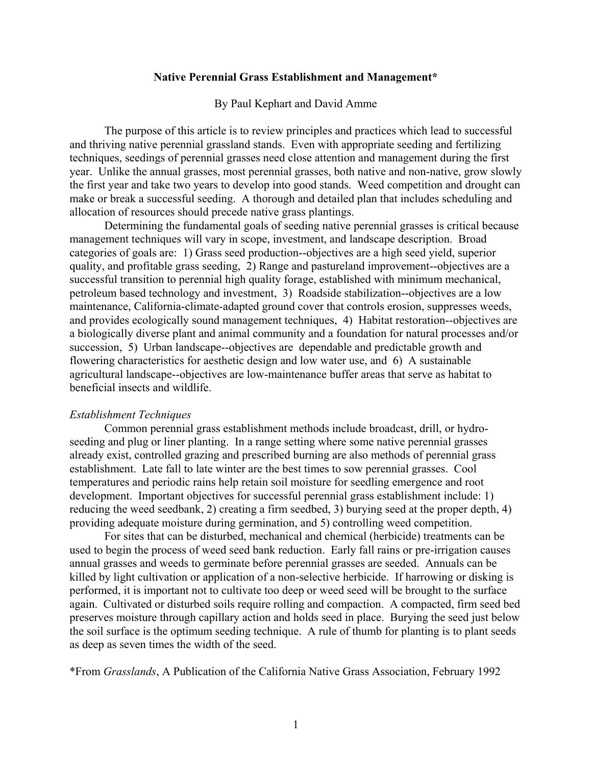## **Native Perennial Grass Establishment and Management\***

## By Paul Kephart and David Amme

 The purpose of this article is to review principles and practices which lead to successful and thriving native perennial grassland stands. Even with appropriate seeding and fertilizing techniques, seedings of perennial grasses need close attention and management during the first year. Unlike the annual grasses, most perennial grasses, both native and non-native, grow slowly the first year and take two years to develop into good stands. Weed competition and drought can make or break a successful seeding. A thorough and detailed plan that includes scheduling and allocation of resources should precede native grass plantings.

 Determining the fundamental goals of seeding native perennial grasses is critical because management techniques will vary in scope, investment, and landscape description. Broad categories of goals are: 1) Grass seed production--objectives are a high seed yield, superior quality, and profitable grass seeding, 2) Range and pastureland improvement--objectives are a successful transition to perennial high quality forage, established with minimum mechanical, petroleum based technology and investment, 3) Roadside stabilization--objectives are a low maintenance, California-climate-adapted ground cover that controls erosion, suppresses weeds, and provides ecologically sound management techniques, 4) Habitat restoration--objectives are a biologically diverse plant and animal community and a foundation for natural processes and/or succession, 5) Urban landscape--objectives are dependable and predictable growth and flowering characteristics for aesthetic design and low water use, and 6) A sustainable agricultural landscape--objectives are low-maintenance buffer areas that serve as habitat to beneficial insects and wildlife.

## *Establishment Techniques*

 Common perennial grass establishment methods include broadcast, drill, or hydroseeding and plug or liner planting. In a range setting where some native perennial grasses already exist, controlled grazing and prescribed burning are also methods of perennial grass establishment. Late fall to late winter are the best times to sow perennial grasses. Cool temperatures and periodic rains help retain soil moisture for seedling emergence and root development. Important objectives for successful perennial grass establishment include: 1) reducing the weed seedbank, 2) creating a firm seedbed, 3) burying seed at the proper depth, 4) providing adequate moisture during germination, and 5) controlling weed competition.

 For sites that can be disturbed, mechanical and chemical (herbicide) treatments can be used to begin the process of weed seed bank reduction. Early fall rains or pre-irrigation causes annual grasses and weeds to germinate before perennial grasses are seeded. Annuals can be killed by light cultivation or application of a non-selective herbicide. If harrowing or disking is performed, it is important not to cultivate too deep or weed seed will be brought to the surface again. Cultivated or disturbed soils require rolling and compaction. A compacted, firm seed bed preserves moisture through capillary action and holds seed in place. Burying the seed just below the soil surface is the optimum seeding technique. A rule of thumb for planting is to plant seeds as deep as seven times the width of the seed.

\*From *Grasslands*, A Publication of the California Native Grass Association, February 1992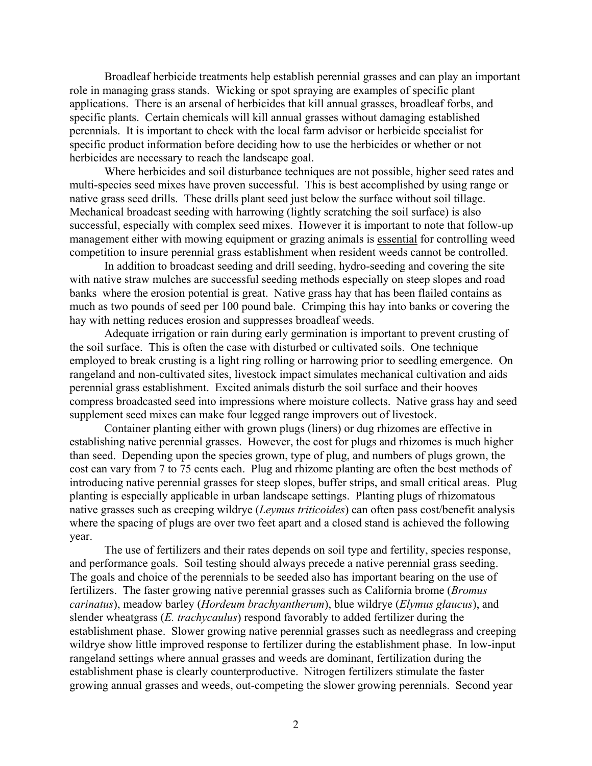Broadleaf herbicide treatments help establish perennial grasses and can play an important role in managing grass stands. Wicking or spot spraying are examples of specific plant applications. There is an arsenal of herbicides that kill annual grasses, broadleaf forbs, and specific plants. Certain chemicals will kill annual grasses without damaging established perennials. It is important to check with the local farm advisor or herbicide specialist for specific product information before deciding how to use the herbicides or whether or not herbicides are necessary to reach the landscape goal.

 Where herbicides and soil disturbance techniques are not possible, higher seed rates and multi-species seed mixes have proven successful. This is best accomplished by using range or native grass seed drills. These drills plant seed just below the surface without soil tillage. Mechanical broadcast seeding with harrowing (lightly scratching the soil surface) is also successful, especially with complex seed mixes. However it is important to note that follow-up management either with mowing equipment or grazing animals is essential for controlling weed competition to insure perennial grass establishment when resident weeds cannot be controlled.

 In addition to broadcast seeding and drill seeding, hydro-seeding and covering the site with native straw mulches are successful seeding methods especially on steep slopes and road banks where the erosion potential is great. Native grass hay that has been flailed contains as much as two pounds of seed per 100 pound bale. Crimping this hay into banks or covering the hay with netting reduces erosion and suppresses broadleaf weeds.

 Adequate irrigation or rain during early germination is important to prevent crusting of the soil surface. This is often the case with disturbed or cultivated soils. One technique employed to break crusting is a light ring rolling or harrowing prior to seedling emergence. On rangeland and non-cultivated sites, livestock impact simulates mechanical cultivation and aids perennial grass establishment. Excited animals disturb the soil surface and their hooves compress broadcasted seed into impressions where moisture collects. Native grass hay and seed supplement seed mixes can make four legged range improvers out of livestock.

 Container planting either with grown plugs (liners) or dug rhizomes are effective in establishing native perennial grasses. However, the cost for plugs and rhizomes is much higher than seed. Depending upon the species grown, type of plug, and numbers of plugs grown, the cost can vary from 7 to 75 cents each. Plug and rhizome planting are often the best methods of introducing native perennial grasses for steep slopes, buffer strips, and small critical areas. Plug planting is especially applicable in urban landscape settings. Planting plugs of rhizomatous native grasses such as creeping wildrye (*Leymus triticoides*) can often pass cost/benefit analysis where the spacing of plugs are over two feet apart and a closed stand is achieved the following year.

 The use of fertilizers and their rates depends on soil type and fertility, species response, and performance goals. Soil testing should always precede a native perennial grass seeding. The goals and choice of the perennials to be seeded also has important bearing on the use of fertilizers. The faster growing native perennial grasses such as California brome (*Bromus carinatus*), meadow barley (*Hordeum brachyantherum*), blue wildrye (*Elymus glaucus*), and slender wheatgrass (*E. trachycaulus*) respond favorably to added fertilizer during the establishment phase. Slower growing native perennial grasses such as needlegrass and creeping wildrye show little improved response to fertilizer during the establishment phase. In low-input rangeland settings where annual grasses and weeds are dominant, fertilization during the establishment phase is clearly counterproductive. Nitrogen fertilizers stimulate the faster growing annual grasses and weeds, out-competing the slower growing perennials. Second year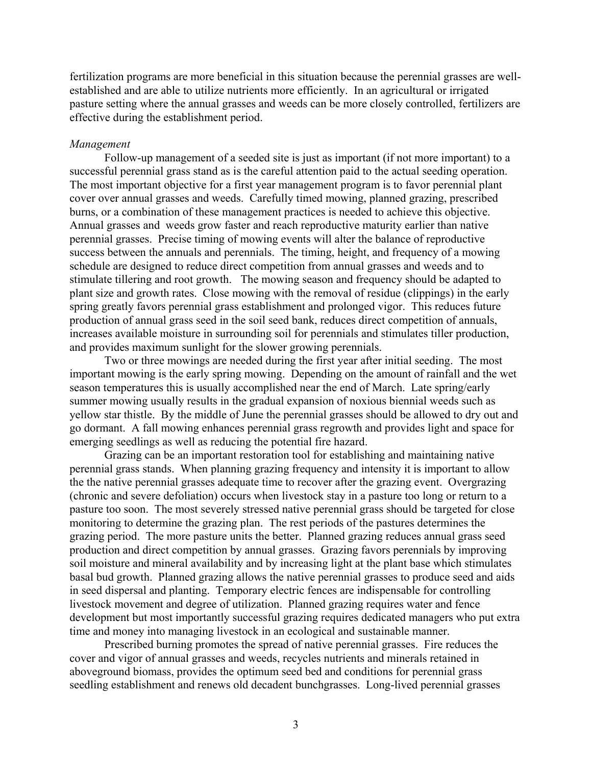fertilization programs are more beneficial in this situation because the perennial grasses are wellestablished and are able to utilize nutrients more efficiently. In an agricultural or irrigated pasture setting where the annual grasses and weeds can be more closely controlled, fertilizers are effective during the establishment period.

## *Management*

 Follow-up management of a seeded site is just as important (if not more important) to a successful perennial grass stand as is the careful attention paid to the actual seeding operation. The most important objective for a first year management program is to favor perennial plant cover over annual grasses and weeds. Carefully timed mowing, planned grazing, prescribed burns, or a combination of these management practices is needed to achieve this objective. Annual grasses and weeds grow faster and reach reproductive maturity earlier than native perennial grasses. Precise timing of mowing events will alter the balance of reproductive success between the annuals and perennials. The timing, height, and frequency of a mowing schedule are designed to reduce direct competition from annual grasses and weeds and to stimulate tillering and root growth. The mowing season and frequency should be adapted to plant size and growth rates. Close mowing with the removal of residue (clippings) in the early spring greatly favors perennial grass establishment and prolonged vigor. This reduces future production of annual grass seed in the soil seed bank, reduces direct competition of annuals, increases available moisture in surrounding soil for perennials and stimulates tiller production, and provides maximum sunlight for the slower growing perennials.

 Two or three mowings are needed during the first year after initial seeding. The most important mowing is the early spring mowing. Depending on the amount of rainfall and the wet season temperatures this is usually accomplished near the end of March. Late spring/early summer mowing usually results in the gradual expansion of noxious biennial weeds such as yellow star thistle. By the middle of June the perennial grasses should be allowed to dry out and go dormant. A fall mowing enhances perennial grass regrowth and provides light and space for emerging seedlings as well as reducing the potential fire hazard.

 Grazing can be an important restoration tool for establishing and maintaining native perennial grass stands. When planning grazing frequency and intensity it is important to allow the the native perennial grasses adequate time to recover after the grazing event. Overgrazing (chronic and severe defoliation) occurs when livestock stay in a pasture too long or return to a pasture too soon. The most severely stressed native perennial grass should be targeted for close monitoring to determine the grazing plan. The rest periods of the pastures determines the grazing period. The more pasture units the better. Planned grazing reduces annual grass seed production and direct competition by annual grasses. Grazing favors perennials by improving soil moisture and mineral availability and by increasing light at the plant base which stimulates basal bud growth. Planned grazing allows the native perennial grasses to produce seed and aids in seed dispersal and planting. Temporary electric fences are indispensable for controlling livestock movement and degree of utilization. Planned grazing requires water and fence development but most importantly successful grazing requires dedicated managers who put extra time and money into managing livestock in an ecological and sustainable manner.

 Prescribed burning promotes the spread of native perennial grasses. Fire reduces the cover and vigor of annual grasses and weeds, recycles nutrients and minerals retained in aboveground biomass, provides the optimum seed bed and conditions for perennial grass seedling establishment and renews old decadent bunchgrasses. Long-lived perennial grasses